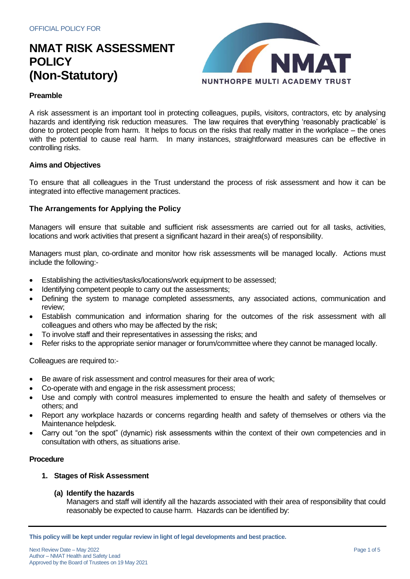

# **Preamble**

A risk assessment is an important tool in protecting colleagues, pupils, visitors, contractors, etc by analysing hazards and identifying risk reduction measures. The law requires that everything 'reasonably practicable' is done to protect people from harm. It helps to focus on the risks that really matter in the workplace – the ones with the potential to cause real harm. In many instances, straightforward measures can be effective in controlling risks.

## **Aims and Objectives**

To ensure that all colleagues in the Trust understand the process of risk assessment and how it can be integrated into effective management practices.

## **The Arrangements for Applying the Policy**

Managers will ensure that suitable and sufficient risk assessments are carried out for all tasks, activities, locations and work activities that present a significant hazard in their area(s) of responsibility.

Managers must plan, co-ordinate and monitor how risk assessments will be managed locally. Actions must include the following:-

- Establishing the activities/tasks/locations/work equipment to be assessed;
- Identifying competent people to carry out the assessments;
- Defining the system to manage completed assessments, any associated actions, communication and review;
- Establish communication and information sharing for the outcomes of the risk assessment with all colleagues and others who may be affected by the risk;
- To involve staff and their representatives in assessing the risks; and
- Refer risks to the appropriate senior manager or forum/committee where they cannot be managed locally.

Colleagues are required to:-

- Be aware of risk assessment and control measures for their area of work;
- Co-operate with and engage in the risk assessment process;
- Use and comply with control measures implemented to ensure the health and safety of themselves or others; and
- Report any workplace hazards or concerns regarding health and safety of themselves or others via the Maintenance helpdesk.
- Carry out "on the spot" (dynamic) risk assessments within the context of their own competencies and in consultation with others, as situations arise.

#### **Procedure**

## **1. Stages of Risk Assessment**

## **(a) Identify the hazards**

Managers and staff will identify all the hazards associated with their area of responsibility that could reasonably be expected to cause harm. Hazards can be identified by:

**This policy will be kept under regular review in light of legal developments and best practice.**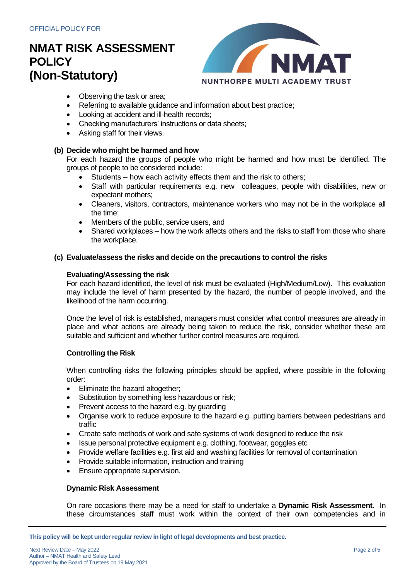

- Observing the task or area;
- Referring to available guidance and information about best practice;
- Looking at accident and ill-health records;
- Checking manufacturers' instructions or data sheets;
- Asking staff for their views.

## **(b) Decide who might be harmed and how**

For each hazard the groups of people who might be harmed and how must be identified. The groups of people to be considered include:

- Students how each activity effects them and the risk to others;
- Staff with particular requirements e.g. new colleagues, people with disabilities, new or expectant mothers;
- Cleaners, visitors, contractors, maintenance workers who may not be in the workplace all the time;
- Members of the public, service users, and
- Shared workplaces how the work affects others and the risks to staff from those who share the workplace.

## **(c) Evaluate/assess the risks and decide on the precautions to control the risks**

## **Evaluating/Assessing the risk**

For each hazard identified, the level of risk must be evaluated (High/Medium/Low). This evaluation may include the level of harm presented by the hazard, the number of people involved, and the likelihood of the harm occurring.

Once the level of risk is established, managers must consider what control measures are already in place and what actions are already being taken to reduce the risk, consider whether these are suitable and sufficient and whether further control measures are required.

## **Controlling the Risk**

When controlling risks the following principles should be applied, where possible in the following order:

- Eliminate the hazard altogether:
- Substitution by something less hazardous or risk;
- Prevent access to the hazard e.g. by guarding
- Organise work to reduce exposure to the hazard e.g. putting barriers between pedestrians and traffic
- Create safe methods of work and safe systems of work designed to reduce the risk
- Issue personal protective equipment e.g. clothing, footwear, goggles etc
- Provide welfare facilities e.g. first aid and washing facilities for removal of contamination
- Provide suitable information, instruction and training
- Ensure appropriate supervision.

#### **Dynamic Risk Assessment**

On rare occasions there may be a need for staff to undertake a **Dynamic Risk Assessment.** In these circumstances staff must work within the context of their own competencies and in

**This policy will be kept under regular review in light of legal developments and best practice.**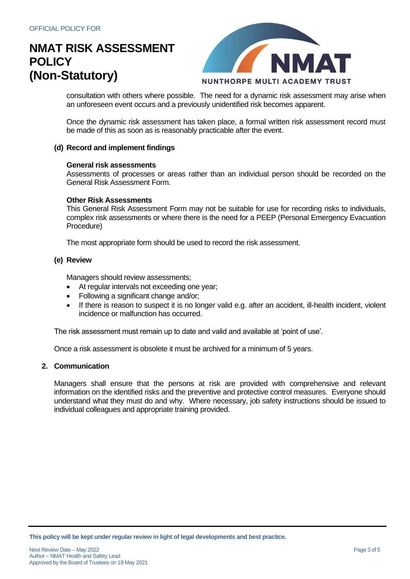

consultation with others where possible. The need for a dynamic risk assessment may arise when an unforeseen event occurs and a previously unidentified risk becomes apparent.

Once the dynamic risk assessment has taken place, a formal written risk assessment record must be made of this as soon as is reasonably practicable after the event.

## **(d) Record and implement findings**

#### **General risk assessments**

Assessments of processes or areas rather than an individual person should be recorded on the General Risk Assessment Form.

### **Other Risk Assessments**

This General Risk Assessment Form may not be suitable for use for recording risks to individuals, complex risk assessments or where there is the need for a PEEP (Personal Emergency Evacuation Procedure)

The most appropriate form should be used to record the risk assessment.

#### **(e) Review**

Managers should review assessments;

- At regular intervals not exceeding one year;
- Following a significant change and/or;
- If there is reason to suspect it is no longer valid e.g. after an accident, ill-health incident, violent incidence or malfunction has occurred.

The risk assessment must remain up to date and valid and available at 'point of use'.

Once a risk assessment is obsolete it must be archived for a minimum of 5 years.

### **2. Communication**

Managers shall ensure that the persons at risk are provided with comprehensive and relevant information on the identified risks and the preventive and protective control measures. Everyone should understand what they must do and why. Where necessary, job safety instructions should be issued to individual colleagues and appropriate training provided.

**This policy will be kept under regular review in light of legal developments and best practice.**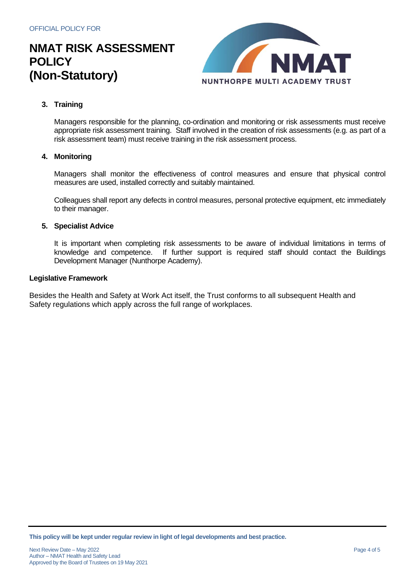

# **3. Training**

Managers responsible for the planning, co-ordination and monitoring or risk assessments must receive appropriate risk assessment training. Staff involved in the creation of risk assessments (e.g. as part of a risk assessment team) must receive training in the risk assessment process.

## **4. Monitoring**

Managers shall monitor the effectiveness of control measures and ensure that physical control measures are used, installed correctly and suitably maintained.

Colleagues shall report any defects in control measures, personal protective equipment, etc immediately to their manager.

## **5. Specialist Advice**

It is important when completing risk assessments to be aware of individual limitations in terms of knowledge and competence. If further support is required staff should contact the Buildings Development Manager (Nunthorpe Academy).

#### **Legislative Framework**

Besides the Health and Safety at Work Act itself, the Trust conforms to all subsequent Health and Safety regulations which apply across the full range of workplaces.

**This policy will be kept under regular review in light of legal developments and best practice.**